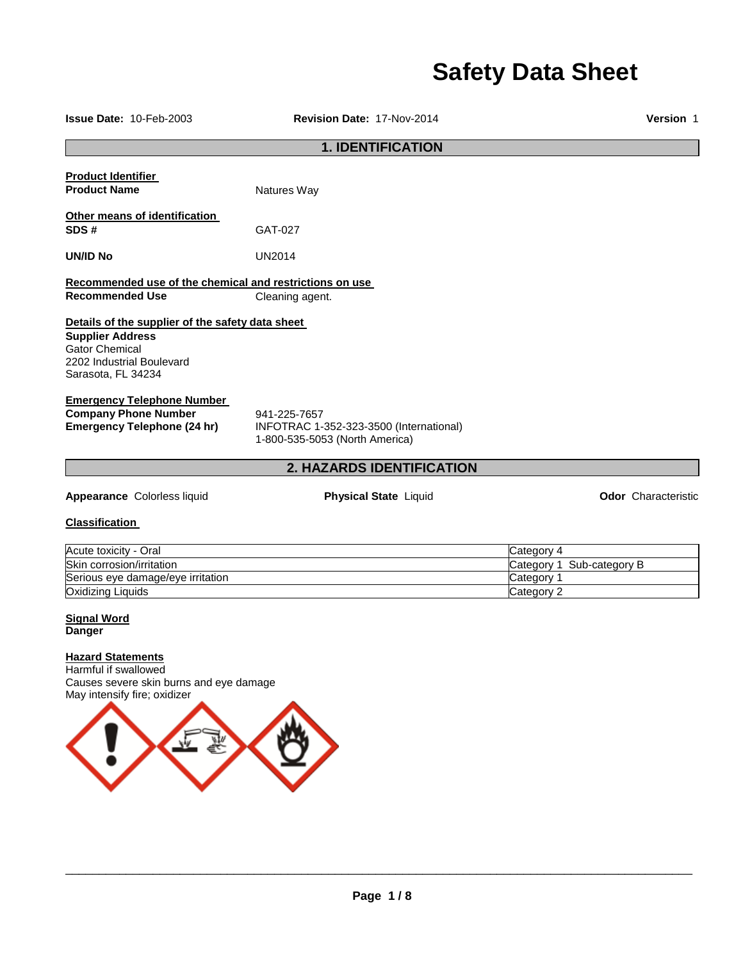# **Safety Data Sheet**

**Issue Date:** 10-Feb-2003 **Revision Date:** 17-Nov-2014 **Version** 1 **1. IDENTIFICATION Product Identifier Product Name Natures Way Other means of identification SDS #** GAT-027 **UN/ID No** UN2014 **Recommended use of the chemical and restrictions on use Recommended Use Cleaning agent. Details of the supplier of the safety data sheet Supplier Address** Gator Chemical 2202 Industrial Boulevard Sarasota, FL 34234 **Emergency Telephone Number Company Phone Number** 941-225-7657<br>**Emergency Telephone (24 hr)** INFOTRAC 1-**Emergency Telephone (24 hr)** INFOTRAC 1-352-323-3500 (International) 1-800-535-5053 (North America) **2. HAZARDS IDENTIFICATION Appearance Colorless liquid <b>Physical State** Liquid **Constant Constant Constant Constant Constant Constant Physical State Liquid Constant Constant Constant Constant Physical State Liquid Classification**  Acute toxicity - Oral Category 4 Skin corrosion/irritation Category 1 Sub-category B Serious eye damage/eye irritation contract the contract of the category 1 category 1

Oxidizing Liquids Category 2

# **Signal Word Danger**

# **Hazard Statements**

Harmful if swallowed Causes severe skin burns and eye damage May intensify fire; oxidizer

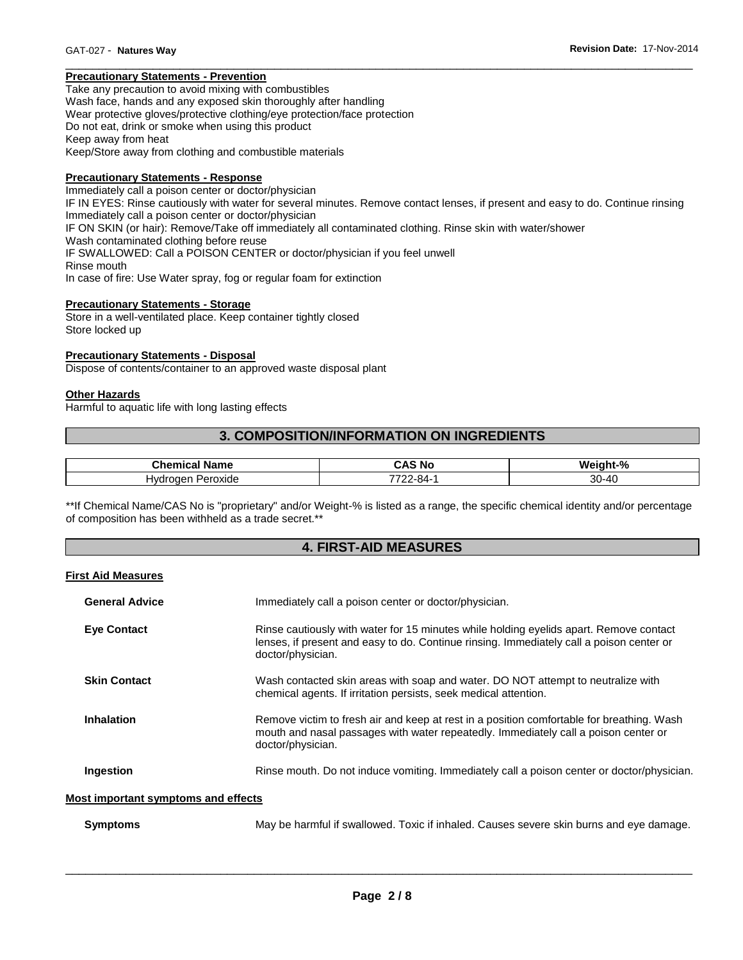# **Precautionary Statements - Prevention**

Take any precaution to avoid mixing with combustibles Wash face, hands and any exposed skin thoroughly after handling Wear protective gloves/protective clothing/eye protection/face protection Do not eat, drink or smoke when using this product Keep away from heat Keep/Store away from clothing and combustible materials

# **Precautionary Statements - Response**

Immediately call a poison center or doctor/physician IF IN EYES: Rinse cautiously with water for several minutes. Remove contact lenses, if present and easy to do. Continue rinsing Immediately call a poison center or doctor/physician IF ON SKIN (or hair): Remove/Take off immediately all contaminated clothing. Rinse skin with water/shower Wash contaminated clothing before reuse IF SWALLOWED: Call a POISON CENTER or doctor/physician if you feel unwell Rinse mouth In case of fire: Use Water spray, fog or regular foam for extinction

\_\_\_\_\_\_\_\_\_\_\_\_\_\_\_\_\_\_\_\_\_\_\_\_\_\_\_\_\_\_\_\_\_\_\_\_\_\_\_\_\_\_\_\_\_\_\_\_\_\_\_\_\_\_\_\_\_\_\_\_\_\_\_\_\_\_\_\_\_\_\_\_\_\_\_\_\_\_\_\_\_\_\_\_\_\_\_\_\_\_\_\_\_

# **Precautionary Statements - Storage**

Store in a well-ventilated place. Keep container tightly closed Store locked up

# **Precautionary Statements - Disposal**

Dispose of contents/container to an approved waste disposal plant

# **Other Hazards**

Harmful to aquatic life with long lasting effects

# **3. COMPOSITION/INFORMATION ON INGREDIENTS**

| Chemical<br>Name | <b>CAS No</b>    | eiaht-%<br>Wс |
|------------------|------------------|---------------|
|                  |                  |               |
| 'eroxide<br>lvdr | ——<br>2-84.<br>ີ | $30 - 40$     |

\*\*If Chemical Name/CAS No is "proprietary" and/or Weight-% is listed as a range, the specific chemical identity and/or percentage of composition has been withheld as a trade secret.\*\*

# **4. FIRST-AID MEASURES**

#### **First Aid Measures**

| <b>General Advice</b>               | Immediately call a poison center or doctor/physician.                                                                                                                                                   |  |
|-------------------------------------|---------------------------------------------------------------------------------------------------------------------------------------------------------------------------------------------------------|--|
| <b>Eve Contact</b>                  | Rinse cautiously with water for 15 minutes while holding eyelids apart. Remove contact<br>lenses, if present and easy to do. Continue rinsing. Immediately call a poison center or<br>doctor/physician. |  |
| <b>Skin Contact</b>                 | Wash contacted skin areas with soap and water. DO NOT attempt to neutralize with<br>chemical agents. If irritation persists, seek medical attention.                                                    |  |
| <b>Inhalation</b>                   | Remove victim to fresh air and keep at rest in a position comfortable for breathing. Wash<br>mouth and nasal passages with water repeatedly. Immediately call a poison center or<br>doctor/physician.   |  |
| Ingestion                           | Rinse mouth. Do not induce vomiting. Immediately call a poison center or doctor/physician.                                                                                                              |  |
| Most important symptoms and effects |                                                                                                                                                                                                         |  |
| <b>Symptoms</b>                     | May be harmful if swallowed. Toxic if inhaled. Causes severe skin burns and eye damage.                                                                                                                 |  |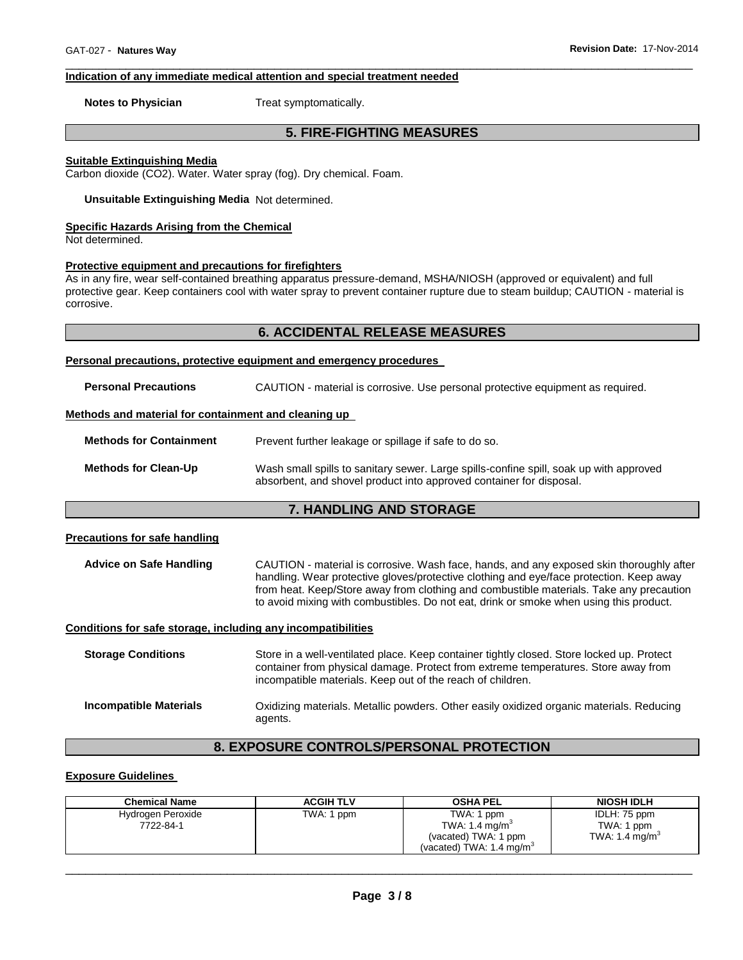# **Indication of any immediate medical attention and special treatment needed**

**Notes to Physician**  Treat symptomatically.

# **5. FIRE-FIGHTING MEASURES**

\_\_\_\_\_\_\_\_\_\_\_\_\_\_\_\_\_\_\_\_\_\_\_\_\_\_\_\_\_\_\_\_\_\_\_\_\_\_\_\_\_\_\_\_\_\_\_\_\_\_\_\_\_\_\_\_\_\_\_\_\_\_\_\_\_\_\_\_\_\_\_\_\_\_\_\_\_\_\_\_\_\_\_\_\_\_\_\_\_\_\_\_\_

# **Suitable Extinguishing Media**

Carbon dioxide (CO2). Water. Water spray (fog). Dry chemical. Foam.

**Unsuitable Extinguishing Media** Not determined.

# **Specific Hazards Arising from the Chemical**

Not determined.

# **Protective equipment and precautions for firefighters**

As in any fire, wear self-contained breathing apparatus pressure-demand, MSHA/NIOSH (approved or equivalent) and full protective gear. Keep containers cool with water spray to prevent container rupture due to steam buildup; CAUTION - material is corrosive.

# **6. ACCIDENTAL RELEASE MEASURES**

#### **Personal precautions, protective equipment and emergency procedures**

| <b>Personal Precautions</b>                          | CAUTION - material is corrosive. Use personal protective equipment as required.                                                                               |  |
|------------------------------------------------------|---------------------------------------------------------------------------------------------------------------------------------------------------------------|--|
| Methods and material for containment and cleaning up |                                                                                                                                                               |  |
| <b>Methods for Containment</b>                       | Prevent further leakage or spillage if safe to do so.                                                                                                         |  |
| <b>Methods for Clean-Up</b>                          | Wash small spills to sanitary sewer. Large spills-confine spill, soak up with approved<br>absorbent, and shovel product into approved container for disposal. |  |

# **7. HANDLING AND STORAGE**

# **Precautions for safe handling**

**Advice on Safe Handling** CAUTION - material is corrosive. Wash face, hands, and any exposed skin thoroughly after handling. Wear protective gloves/protective clothing and eye/face protection. Keep away from heat. Keep/Store away from clothing and combustible materials. Take any precaution to avoid mixing with combustibles. Do not eat, drink or smoke when using this product.

# **Conditions for safe storage, including any incompatibilities**

**Storage Conditions** Store in a well-ventilated place. Keep container tightly closed. Store locked up. Protect container from physical damage. Protect from extreme temperatures. Store away from incompatible materials. Keep out of the reach of children. **Incompatible Materials** Oxidizing materials. Metallic powders. Other easily oxidized organic materials. Reducing agents.

# **8. EXPOSURE CONTROLS/PERSONAL PROTECTION**

# **Exposure Guidelines**

| <b>Chemical Name</b>           | <b>ACGIH TLV</b> | <b>OSHA PEL</b>                                                                               | <b>NIOSH IDLH</b>                                        |
|--------------------------------|------------------|-----------------------------------------------------------------------------------------------|----------------------------------------------------------|
| Hydrogen Peroxide<br>7722-84-1 | TWA: 1 ppm       | TWA: 1 ppm<br>TWA: 1.4 $mg/m3$<br>(vacated) TWA: 1 ppm<br>(vacated) TWA: $1.4 \text{ ma/m}^3$ | IDLH: 75 ppm<br>TWA: 1 ppm<br>TWA: 1.4 mg/m <sup>3</sup> |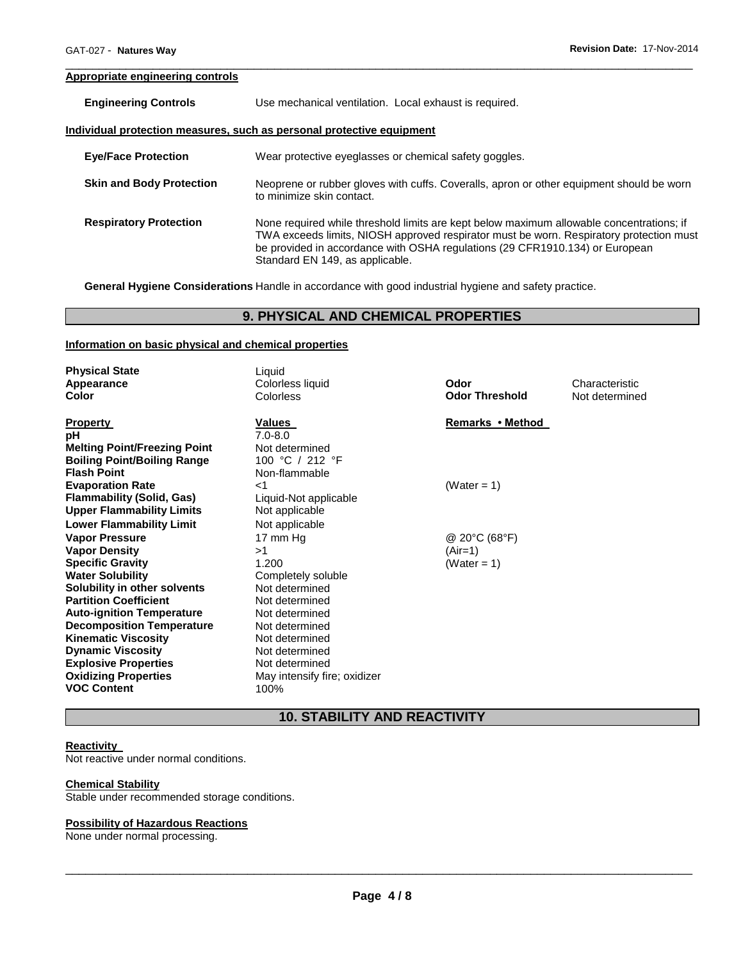# **Appropriate engineering controls**

| <b>Engineering Controls</b> | Use mechanical ventilation. Local exhaust is required.               |
|-----------------------------|----------------------------------------------------------------------|
|                             | ndividual protection measures, such as personal protective equipment |

| <b>Eye/Face Protection</b>      | Wear protective eyeglasses or chemical safety goggles.                                                                                                                                                                                                                                                 |
|---------------------------------|--------------------------------------------------------------------------------------------------------------------------------------------------------------------------------------------------------------------------------------------------------------------------------------------------------|
| <b>Skin and Body Protection</b> | Neoprene or rubber gloves with cuffs. Coveralls, apron or other equipment should be worn<br>to minimize skin contact.                                                                                                                                                                                  |
| <b>Respiratory Protection</b>   | None required while threshold limits are kept below maximum allowable concentrations; if<br>TWA exceeds limits, NIOSH approved respirator must be worn. Respiratory protection must<br>be provided in accordance with OSHA regulations (29 CFR1910.134) or European<br>Standard EN 149, as applicable. |

\_\_\_\_\_\_\_\_\_\_\_\_\_\_\_\_\_\_\_\_\_\_\_\_\_\_\_\_\_\_\_\_\_\_\_\_\_\_\_\_\_\_\_\_\_\_\_\_\_\_\_\_\_\_\_\_\_\_\_\_\_\_\_\_\_\_\_\_\_\_\_\_\_\_\_\_\_\_\_\_\_\_\_\_\_\_\_\_\_\_\_\_\_

**General Hygiene Considerations** Handle in accordance with good industrial hygiene and safety practice.

# **9. PHYSICAL AND CHEMICAL PROPERTIES**

# **Information on basic physical and chemical properties**

| <b>Physical State</b>               | Liquid                       |                       |                |
|-------------------------------------|------------------------------|-----------------------|----------------|
| Appearance                          | Colorless liquid             | Odor                  | Characteristic |
| Color                               | Colorless                    | <b>Odor Threshold</b> | Not determined |
|                                     |                              |                       |                |
| <b>Property</b>                     | Values                       | Remarks • Method      |                |
| рH                                  | $7.0 - 8.0$                  |                       |                |
| <b>Melting Point/Freezing Point</b> | Not determined               |                       |                |
| <b>Boiling Point/Boiling Range</b>  | 100 °C / 212 °F              |                       |                |
| <b>Flash Point</b>                  | Non-flammable                |                       |                |
| <b>Evaporation Rate</b>             | -1                           | (Water = 1)           |                |
| <b>Flammability (Solid, Gas)</b>    | Liquid-Not applicable        |                       |                |
| <b>Upper Flammability Limits</b>    | Not applicable               |                       |                |
| <b>Lower Flammability Limit</b>     | Not applicable               |                       |                |
| <b>Vapor Pressure</b>               | 17 mm Hg                     | @ 20°C (68°F)         |                |
| <b>Vapor Density</b>                | >1                           | (Air=1)               |                |
| <b>Specific Gravity</b>             | 1.200                        | (Water = 1)           |                |
| <b>Water Solubility</b>             | Completely soluble           |                       |                |
| Solubility in other solvents        | Not determined               |                       |                |
| <b>Partition Coefficient</b>        | Not determined               |                       |                |
| <b>Auto-ignition Temperature</b>    | Not determined               |                       |                |
| <b>Decomposition Temperature</b>    | Not determined               |                       |                |
| <b>Kinematic Viscosity</b>          | Not determined               |                       |                |
| <b>Dynamic Viscosity</b>            | Not determined               |                       |                |
| <b>Explosive Properties</b>         | Not determined               |                       |                |
| <b>Oxidizing Properties</b>         | May intensify fire; oxidizer |                       |                |
| <b>VOC Content</b>                  | 100%                         |                       |                |

# **10. STABILITY AND REACTIVITY**

# **Reactivity**

Not reactive under normal conditions.

# **Chemical Stability**

Stable under recommended storage conditions.

# **Possibility of Hazardous Reactions**

None under normal processing.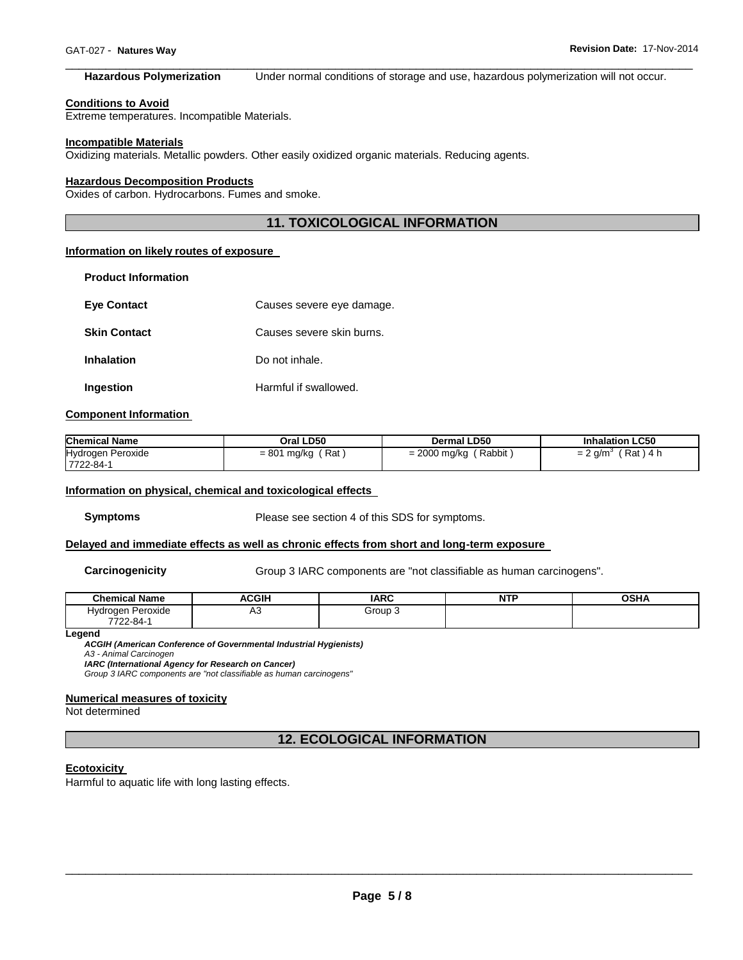#### \_\_\_\_\_\_\_\_\_\_\_\_\_\_\_\_\_\_\_\_\_\_\_\_\_\_\_\_\_\_\_\_\_\_\_\_\_\_\_\_\_\_\_\_\_\_\_\_\_\_\_\_\_\_\_\_\_\_\_\_\_\_\_\_\_\_\_\_\_\_\_\_\_\_\_\_\_\_\_\_\_\_\_\_\_\_\_\_\_\_\_\_\_ **Hazardous Polymerization** Under normal conditions of storage and use, hazardous polymerization will not occur.

#### **Conditions to Avoid**

Extreme temperatures. Incompatible Materials.

#### **Incompatible Materials**

Oxidizing materials. Metallic powders. Other easily oxidized organic materials. Reducing agents.

#### **Hazardous Decomposition Products**

Oxides of carbon. Hydrocarbons. Fumes and smoke.

# **11. TOXICOLOGICAL INFORMATION**

# **Information on likely routes of exposure**

| <b>Product Information</b> |                           |
|----------------------------|---------------------------|
| <b>Eve Contact</b>         | Causes severe eye damage. |
| <b>Skin Contact</b>        | Causes severe skin burns. |
| <b>Inhalation</b>          | Do not inhale.            |
| Ingestion                  | Harmful if swallowed.     |

#### **Component Information**

| <b>Chemical Name</b>           | Oral LD50          | <b>Dermal LD50</b>       | <b>Inhalation LC50</b> |
|--------------------------------|--------------------|--------------------------|------------------------|
| Hydrogen Peroxide<br>7722-84-1 | Rat<br>= 801 mg/kg | Rabbit<br>$= 2000$ mg/kg | Rat<br>) 4 h<br>. a/m  |

#### **Information on physical, chemical and toxicological effects**

**Symptoms** Please see section 4 of this SDS for symptoms.

#### **Delayed and immediate effects as well as chronic effects from short and long-term exposure**

**Carcinogenicity Group 3 IARC components are "not classifiable as human carcinogens".** 

| <b>Chemical Name</b> | <b>ACGIH</b> | <b>IARC</b> | <b>NTF</b> | <b>OSHA</b> |
|----------------------|--------------|-------------|------------|-------------|
| Hydrogen Peroxide    | ΔΩ<br>่∼     | Group 3     |            |             |
| 7722-84-             |              |             |            |             |

**Legend** 

*ACGIH (American Conference of Governmental Industrial Hygienists) A3 - Animal Carcinogen* 

*IARC (International Agency for Research on Cancer)*

*Group 3 IARC components are "not classifiable as human carcinogens"* 

# **Numerical measures of toxicity**

Not determined

**12. ECOLOGICAL INFORMATION** 

#### **Ecotoxicity**

Harmful to aquatic life with long lasting effects.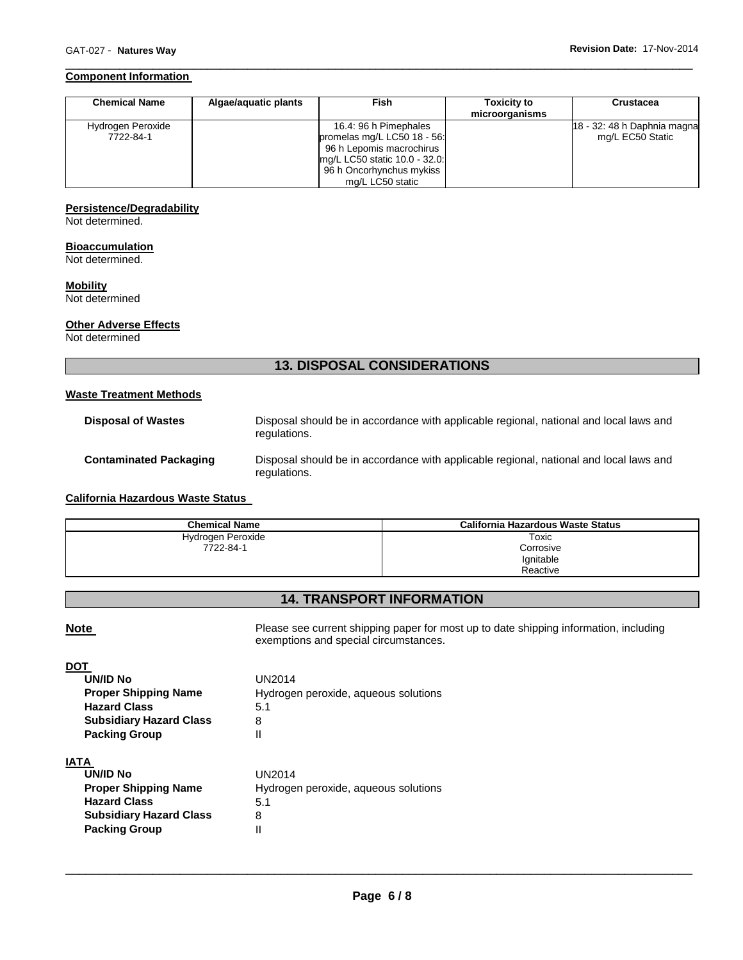# **Component Information**

| <b>Chemical Name</b> | Algae/aguatic plants | <b>Fish</b>                   | <b>Toxicity to</b><br>microorganisms | Crustacea                   |
|----------------------|----------------------|-------------------------------|--------------------------------------|-----------------------------|
| Hydrogen Peroxide    |                      | 16.4: 96 h Pimephales         |                                      | 18 - 32: 48 h Daphnia magna |
| 7722-84-1            |                      | promelas mg/L LC50 18 - 56:   |                                      | mg/L EC50 Static            |
|                      |                      | 96 h Lepomis macrochirus      |                                      |                             |
|                      |                      | mg/L LC50 static 10.0 - 32.0: |                                      |                             |
|                      |                      | 96 h Oncorhynchus mykiss      |                                      |                             |
|                      |                      | mg/L LC50 static              |                                      |                             |

\_\_\_\_\_\_\_\_\_\_\_\_\_\_\_\_\_\_\_\_\_\_\_\_\_\_\_\_\_\_\_\_\_\_\_\_\_\_\_\_\_\_\_\_\_\_\_\_\_\_\_\_\_\_\_\_\_\_\_\_\_\_\_\_\_\_\_\_\_\_\_\_\_\_\_\_\_\_\_\_\_\_\_\_\_\_\_\_\_\_\_\_\_

# **Persistence/Degradability**

Not determined.

# **Bioaccumulation**

Not determined.

# **Mobility**

Not determined

# **Other Adverse Effects**

Not determined

# **13. DISPOSAL CONSIDERATIONS**

# **Waste Treatment Methods**

| <b>Disposal of Wastes</b>     | Disposal should be in accordance with applicable regional, national and local laws and<br>regulations. |
|-------------------------------|--------------------------------------------------------------------------------------------------------|
| <b>Contaminated Packaging</b> | Disposal should be in accordance with applicable regional, national and local laws and<br>regulations. |

# **California Hazardous Waste Status**

**Subsidiary Hazard Class** 8 **Packing Group** II

| <b>Chemical Name</b> | California Hazardous Waste Status |
|----------------------|-----------------------------------|
| Hydrogen Peroxide    | Toxic                             |
| 7722-84-1            | Corrosive                         |
|                      | Ignitable                         |
|                      | Reactive                          |

# **14. TRANSPORT INFORMATION**

**Note Please see current shipping paper for most up to date shipping information, including** exemptions and special circumstances.

| UN/ID No                       | UN2014                               |
|--------------------------------|--------------------------------------|
| <b>Proper Shipping Name</b>    | Hydrogen peroxide, aqueous solutions |
| <b>Hazard Class</b>            | 5.1                                  |
| <b>Subsidiary Hazard Class</b> | 8                                    |
| <b>Packing Group</b>           | Ш                                    |
| IATA                           |                                      |
| UN/ID No                       | UN2014                               |
| <b>Proper Shipping Name</b>    | Hydrogen peroxide, aqueous solutions |
| <b>Hazard Class</b>            | 5.1                                  |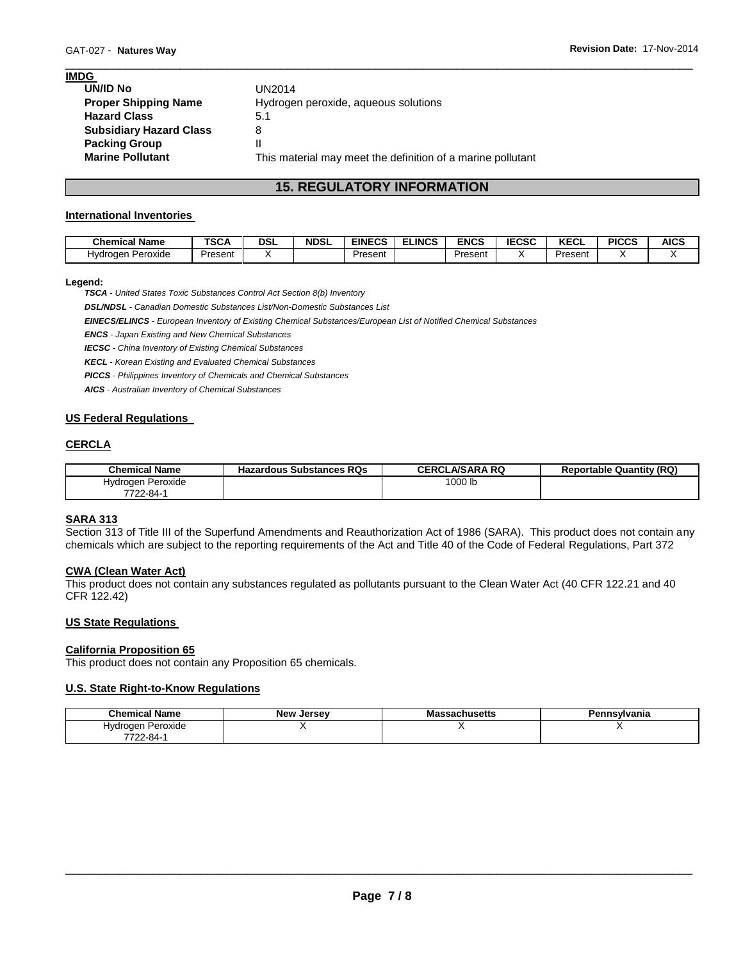| <b>IMDG</b>                    |                                                             |
|--------------------------------|-------------------------------------------------------------|
| <b>UN/ID No</b>                | UN2014                                                      |
| <b>Proper Shipping Name</b>    | Hydrogen peroxide, aqueous solutions                        |
| <b>Hazard Class</b>            | 5.1                                                         |
| <b>Subsidiary Hazard Class</b> | 8                                                           |
| <b>Packing Group</b>           | н                                                           |
| <b>Marine Pollutant</b>        | This material may meet the definition of a marine pollutant |

# **15. REGULATORY INFORMATION**

\_\_\_\_\_\_\_\_\_\_\_\_\_\_\_\_\_\_\_\_\_\_\_\_\_\_\_\_\_\_\_\_\_\_\_\_\_\_\_\_\_\_\_\_\_\_\_\_\_\_\_\_\_\_\_\_\_\_\_\_\_\_\_\_\_\_\_\_\_\_\_\_\_\_\_\_\_\_\_\_\_\_\_\_\_\_\_\_\_\_\_\_\_

# **International Inventories**

| <b>Chemical Name</b> | <b>TSCA</b> | DSL | <b>NDSL</b> | <b>EINECS</b> | <b>ELINCS</b> | <b>ENCS</b> | <b>IECSC</b> | <b>KECL</b> | <b>PICCS</b> | <b>AICS</b> |
|----------------------|-------------|-----|-------------|---------------|---------------|-------------|--------------|-------------|--------------|-------------|
| Peroxide<br>Hvdroaen | Present     |     |             | Present       |               | Present     |              | Present     |              |             |

# **Legend:**

*TSCA - United States Toxic Substances Control Act Section 8(b) Inventory* 

*DSL/NDSL - Canadian Domestic Substances List/Non-Domestic Substances List* 

*EINECS/ELINCS - European Inventory of Existing Chemical Substances/European List of Notified Chemical Substances* 

*ENCS - Japan Existing and New Chemical Substances* 

*IECSC - China Inventory of Existing Chemical Substances* 

*KECL - Korean Existing and Evaluated Chemical Substances* 

*PICCS - Philippines Inventory of Chemicals and Chemical Substances* 

*AICS - Australian Inventory of Chemical Substances* 

# **US Federal Regulations**

# **CERCLA**

| Chemical Name     | <b>Hazardous Substances RQs</b> | <b>CERCLA/SARA RQ</b> | <b>Reportable Quantity (RQ)</b> |
|-------------------|---------------------------------|-----------------------|---------------------------------|
| Hydrogen Peroxide |                                 | 1000 lb               |                                 |
| 7722-84-1         |                                 |                       |                                 |

# **SARA 313**

Section 313 of Title III of the Superfund Amendments and Reauthorization Act of 1986 (SARA). This product does not contain any chemicals which are subject to the reporting requirements of the Act and Title 40 of the Code of Federal Regulations, Part 372

# **CWA (Clean Water Act)**

This product does not contain any substances regulated as pollutants pursuant to the Clean Water Act (40 CFR 122.21 and 40 CFR 122.42)

#### **US State Regulations**

#### **California Proposition 65**

This product does not contain any Proposition 65 chemicals.

# **U.S. State Right-to-Know Regulations**

| <b>New Jersey</b> | Massachusetts | `nsvlvania |
|-------------------|---------------|------------|
|                   |               |            |
|                   |               |            |